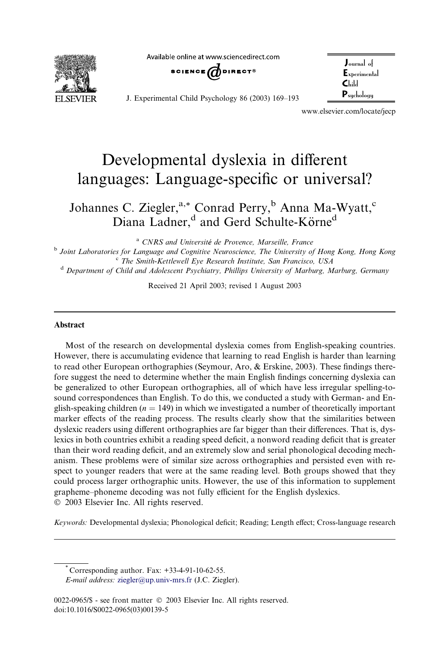Available online at www.sciencedirect.com



SCIENCE  $\bm{\theta}$ direct®

Journal of **Experimental** Child  $P<sub>suchol</sub>$ 

J. Experimental Child Psychology 86 (2003) 169–193

www.elsevier.com/locate/jecp

## Developmental dyslexia in different languages: Language-specific or universal?

Johannes C. Ziegler,<sup>a,\*</sup> Conrad Perry,<sup>b</sup> Anna Ma-Wyatt,<sup>c</sup> Diana Ladner,<sup>d</sup> and Gerd Schulte-Körne<sup>d</sup>

<sup>a</sup> CNRS and Université de Provence, Marseille, France<br><sup>b</sup> Joint Laboratories for Language and Cognitive Neuroscience, The University of Hong Kong, Hong Kong  $c$  The Smith-Kettlewell Eye Research Institute, San Francisco, USA

<sup>d</sup> Department of Child and Adolescent Psychiatry, Phillips University of Marburg, Marburg, Germany

Received 21 April 2003; revised 1 August 2003

## Abstract

Most of the research on developmental dyslexia comes from English-speaking countries. However, there is accumulating evidence that learning to read English is harder than learning to read other European orthographies (Seymour, Aro, & Erskine, 2003). These findings therefore suggest the need to determine whether the main English findings concerning dyslexia can be generalized to other European orthographies, all of which have less irregular spelling-tosound correspondences than English. To do this, we conducted a study with German- and English-speaking children ( $n = 149$ ) in which we investigated a number of theoretically important marker effects of the reading process. The results clearly show that the similarities between dyslexic readers using different orthographies are far bigger than their differences. That is, dyslexics in both countries exhibit a reading speed deficit, a nonword reading deficit that is greater than their word reading deficit, and an extremely slow and serial phonological decoding mechanism. These problems were of similar size across orthographies and persisted even with respect to younger readers that were at the same reading level. Both groups showed that they could process larger orthographic units. However, the use of this information to supplement grapheme–phoneme decoding was not fully efficient for the English dyslexics. 2003 Elsevier Inc. All rights reserved.

Keywords: Developmental dyslexia; Phonological deficit; Reading; Length effect; Cross-language research

\* Corresponding author. Fax: +33-4-91-10-62-55.

E-mail address: [ziegler@up.univ-mrs.fr](mail to: ziegler@up.univ-mrs.fr) (J.C. Ziegler).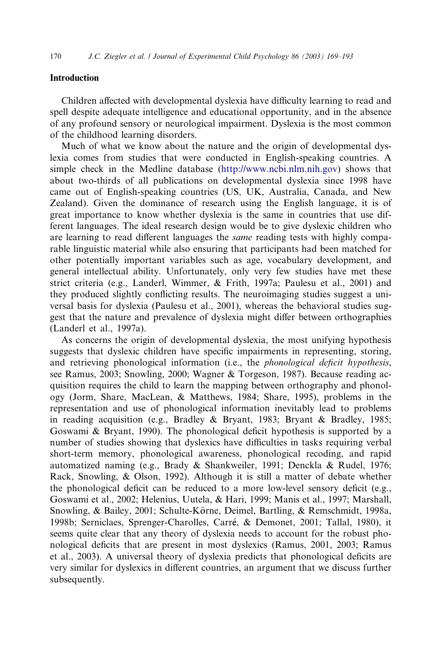## Introduction

Children affected with developmental dyslexia have difficulty learning to read and spell despite adequate intelligence and educational opportunity, and in the absence of any profound sensory or neurological impairment. Dyslexia is the most common of the childhood learning disorders.

Much of what we know about the nature and the origin of developmental dyslexia comes from studies that were conducted in English-speaking countries. A simple check in the Medline database [\(http://www.ncbi.nlm.nih.gov](http://www.ncbi.nlm.nih.gov)) shows that about two-thirds of all publications on developmental dyslexia since 1998 have came out of English-speaking countries (US, UK, Australia, Canada, and New Zealand). Given the dominance of research using the English language, it is of great importance to know whether dyslexia is the same in countries that use different languages. The ideal research design would be to give dyslexic children who are learning to read different languages the same reading tests with highly comparable linguistic material while also ensuring that participants had been matched for other potentially important variables such as age, vocabulary development, and general intellectual ability. Unfortunately, only very few studies have met these strict criteria (e.g., Landerl, Wimmer, & Frith, 1997a; Paulesu et al., 2001) and they produced slightly conflicting results. The neuroimaging studies suggest a universal basis for dyslexia (Paulesu et al., 2001), whereas the behavioral studies suggest that the nature and prevalence of dyslexia might differ between orthographies (Landerl et al., 1997a).

As concerns the origin of developmental dyslexia, the most unifying hypothesis suggests that dyslexic children have specific impairments in representing, storing, and retrieving phonological information (i.e., the phonological deficit hypothesis, see Ramus, 2003; Snowling, 2000; Wagner & Torgeson, 1987). Because reading acquisition requires the child to learn the mapping between orthography and phonology (Jorm, Share, MacLean, & Matthews, 1984; Share, 1995), problems in the representation and use of phonological information inevitably lead to problems in reading acquisition (e.g., Bradley & Bryant, 1983; Bryant & Bradley, 1985; Goswami & Bryant, 1990). The phonological deficit hypothesis is supported by a number of studies showing that dyslexics have difficulties in tasks requiring verbal short-term memory, phonological awareness, phonological recoding, and rapid automatized naming (e.g., Brady & Shankweiler, 1991; Denckla & Rudel, 1976; Rack, Snowling, & Olson, 1992). Although it is still a matter of debate whether the phonological deficit can be reduced to a more low-level sensory deficit (e.g., Goswami et al., 2002; Helenius, Uutela, & Hari, 1999; Manis et al., 1997; Marshall, Snowling, & Bailey, 2001; Schulte-Körne, Deimel, Bartling, & Remschmidt, 1998a, 1998b; Serniclaes, Sprenger-Charolles, Carre, & Demonet, 2001; Tallal, 1980), it seems quite clear that any theory of dyslexia needs to account for the robust phonological deficits that are present in most dyslexics (Ramus, 2001, 2003; Ramus et al., 2003). A universal theory of dyslexia predicts that phonological deficits are very similar for dyslexics in different countries, an argument that we discuss further subsequently.